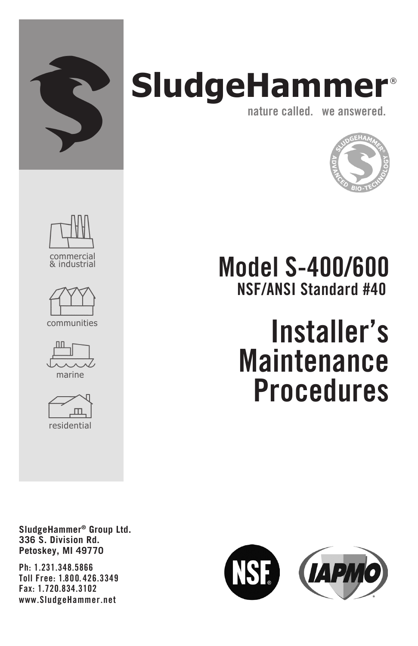

## **SludgeHammer** ® nature called. we answered.





Model S-400/600 NSF/ANSI Standard #40

## Installer's Maintenance **Procedures**

SludgeHammer® Group Ltd. 336 S. Division Rd. Petoskey, MI 49770

Ph: 1.231.348.5866 Toll Free: 1.800. 426.3349 Fax: 1.720.834.3102 www.SludgeHammer.net

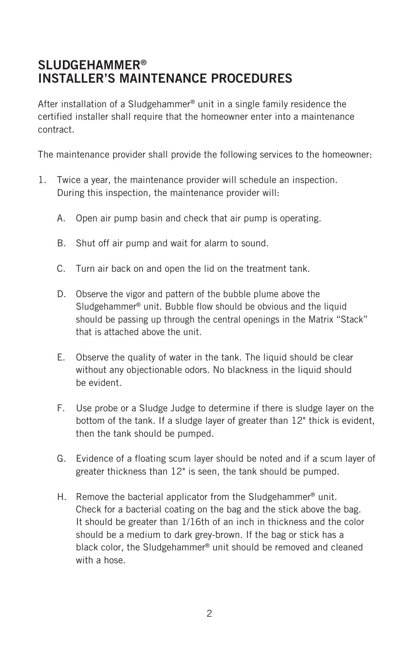## SLUDGEHAMMER® INSTALLER'S MAINTENANCE PROCEDURES

After installation of a Sludgehammer® unit in a single family residence the certified installer shall require that the homeowner enter into a maintenance contract.

The maintenance provider shall provide the following services to the homeowner:

- 1. Twice a year, the maintenance provider will schedule an inspection. During this inspection, the maintenance provider will:
	- A. Open air pump basin and check that air pump is operating.
	- B. Shut off air pump and wait for alarm to sound.
	- C. Turn air back on and open the lid on the treatment tank.
	- D. Observe the vigor and pattern of the bubble plume above the Sludgehammer® unit. Bubble flow should be obvious and the liquid should be passing up through the central openings in the Matrix "Stack" that is attached above the unit.
	- E. Observe the quality of water in the tank. The liquid should be clear without any objectionable odors. No blackness in the liquid should be evident.
	- F. Use probe or a Sludge Judge to determine if there is sludge layer on the bottom of the tank. If a sludge layer of greater than 12" thick is evident, then the tank should be pumped.
	- G. Evidence of a floating scum layer should be noted and if a scum layer of greater thickness than 12" is seen, the tank should be pumped.
	- H. Remove the bacterial applicator from the Sludgehammer<sup>®</sup> unit. Check for a bacterial coating on the bag and the stick above the bag. It should be greater than 1/16th of an inch in thickness and the color should be a medium to dark grey-brown. If the bag or stick has a black color, the Sludgehammer® unit should be removed and cleaned with a hose.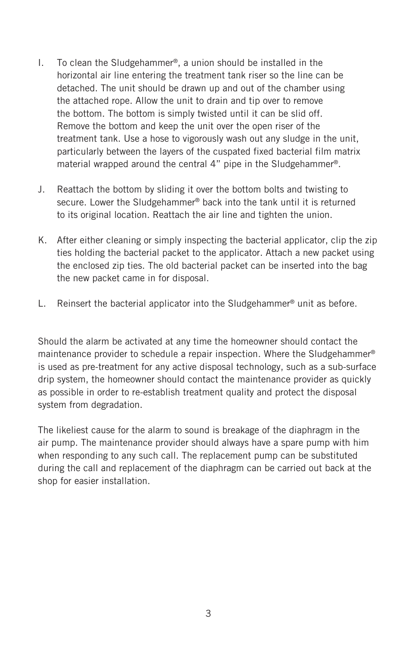- I. To clean the Sludgehammer®, a union should be installed in the horizontal air line entering the treatment tank riser so the line can be detached. The unit should be drawn up and out of the chamber using the attached rope. Allow the unit to drain and tip over to remove the bottom. The bottom is simply twisted until it can be slid off. Remove the bottom and keep the unit over the open riser of the treatment tank. Use a hose to vigorously wash out any sludge in the unit, particularly between the layers of the cuspated fixed bacterial film matrix material wrapped around the central 4" pipe in the Sludgehammer®.
- J. Reattach the bottom by sliding it over the bottom bolts and twisting to secure. Lower the Sludgehammer® back into the tank until it is returned to its original location. Reattach the air line and tighten the union.
- K. After either cleaning or simply inspecting the bacterial applicator, clip the zip ties holding the bacterial packet to the applicator. Attach a new packet using the enclosed zip ties. The old bacterial packet can be inserted into the bag the new packet came in for disposal.
- L. Reinsert the bacterial applicator into the Sludgehammer® unit as before.

Should the alarm be activated at any time the homeowner should contact the maintenance provider to schedule a repair inspection. Where the Sludgehammer® is used as pre-treatment for any active disposal technology, such as a sub-surface drip system, the homeowner should contact the maintenance provider as quickly as possible in order to re-establish treatment quality and protect the disposal system from degradation.

The likeliest cause for the alarm to sound is breakage of the diaphragm in the air pump. The maintenance provider should always have a spare pump with him when responding to any such call. The replacement pump can be substituted during the call and replacement of the diaphragm can be carried out back at the shop for easier installation.